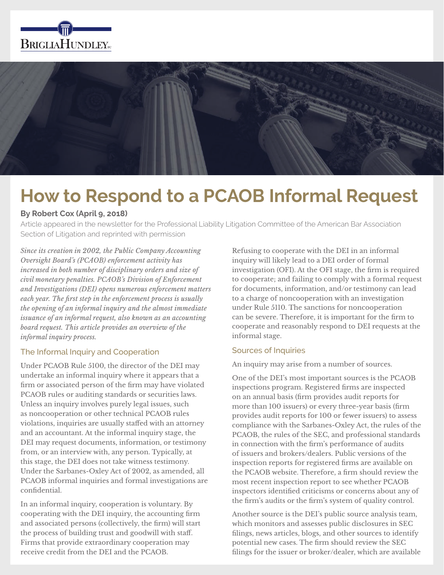



# **How to Respond to a PCAOB Informal Request**

## **By Robert Cox (April 9, 2018)**

Article appeared in the newsletter for the Professional Liability Litigation Committee of the American Bar Association Section of Litigation and reprinted with permission

*Since its creation in 2002, the Public Company Accounting Oversight Board's (PCAOB) enforcement activity has increased in both number of disciplinary orders and size of civil monetary penalties. PCAOB's Division of Enforcement and Investigations (DEI) opens numerous enforcement matters each year. The first step in the enforcement process is usually the opening of an informal inquiry and the almost immediate issuance of an informal request, also known as an accounting board request. This article provides an overview of the informal inquiry process.*

## The Informal Inquiry and Cooperation

Under PCAOB Rule 5100, the director of the DEI may undertake an informal inquiry where it appears that a firm or associated person of the firm may have violated PCAOB rules or auditing standards or securities laws. Unless an inquiry involves purely legal issues, such as noncooperation or other technical PCAOB rules violations, inquiries are usually staffed with an attorney and an accountant. At the informal inquiry stage, the DEI may request documents, information, or testimony from, or an interview with, any person. Typically, at this stage, the DEI does not take witness testimony. Under the Sarbanes-Oxley Act of 2002, as amended, all PCAOB informal inquiries and formal investigations are confidential.

In an informal inquiry, cooperation is voluntary. By cooperating with the DEI inquiry, the accounting firm and associated persons (collectively, the firm) will start the process of building trust and goodwill with staff. Firms that provide extraordinary cooperation may receive credit from the DEI and the PCAOB.

Refusing to cooperate with the DEI in an informal inquiry will likely lead to a DEI order of formal investigation (OFI). At the OFI stage, the firm is required to cooperate; and failing to comply with a formal request for documents, information, and/or testimony can lead to a charge of noncooperation with an investigation under Rule 5110. The sanctions for noncooperation can be severe. Therefore, it is important for the firm to cooperate and reasonably respond to DEI requests at the informal stage.

#### Sources of Inquiries

An inquiry may arise from a number of sources.

One of the DEI's most important sources is the PCAOB inspections program. Registered firms are inspected on an annual basis (firm provides audit reports for more than 100 issuers) or every three-year basis (firm provides audit reports for 100 or fewer issuers) to assess compliance with the Sarbanes-Oxley Act, the rules of the PCAOB, the rules of the SEC, and professional standards in connection with the firm's performance of audits of issuers and brokers/dealers. Public versions of the inspection reports for registered firms are available on the PCAOB website. Therefore, a firm should review the most recent inspection report to see whether PCAOB inspectors identified criticisms or concerns about any of the firm's audits or the firm's system of quality control.

Another source is the DEI's public source analysis team, which monitors and assesses public disclosures in SEC filings, news articles, blogs, and other sources to identify potential new cases. The firm should review the SEC filings for the issuer or broker/dealer, which are available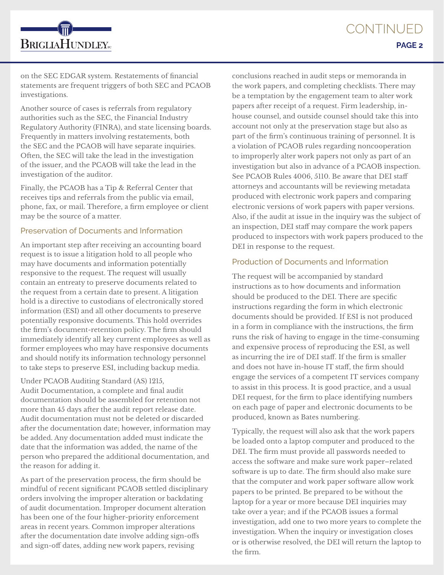CONTINUED **PAGE 2**



on the SEC EDGAR system. Restatements of financial statements are frequent triggers of both SEC and PCAOB investigations.

Another source of cases is referrals from regulatory authorities such as the SEC, the Financial Industry Regulatory Authority (FINRA), and state licensing boards. Frequently in matters involving restatements, both the SEC and the PCAOB will have separate inquiries. Often, the SEC will take the lead in the investigation of the issuer, and the PCAOB will take the lead in the investigation of the auditor.

Finally, the PCAOB has a Tip & Referral Center that receives tips and referrals from the public via email, phone, fax, or mail. Therefore, a firm employee or client may be the source of a matter.

#### Preservation of Documents and Information

An important step after receiving an accounting board request is to issue a litigation hold to all people who may have documents and information potentially responsive to the request. The request will usually contain an entreaty to preserve documents related to the request from a certain date to present. A litigation hold is a directive to custodians of electronically stored information (ESI) and all other documents to preserve potentially responsive documents. This hold overrides the firm's document-retention policy. The firm should immediately identify all key current employees as well as former employees who may have responsive documents and should notify its information technology personnel to take steps to preserve ESI, including backup media.

#### Under PCAOB Auditing Standard (AS) 1215,

Audit Documentation, a complete and final audit documentation should be assembled for retention not more than 45 days after the audit report release date. Audit documentation must not be deleted or discarded after the documentation date; however, information may be added. Any documentation added must indicate the date that the information was added, the name of the person who prepared the additional documentation, and the reason for adding it.

As part of the preservation process, the firm should be mindful of recent significant PCAOB settled disciplinary orders involving the improper alteration or backdating of audit documentation. Improper document alteration has been one of the four higher-priority enforcement areas in recent years. Common improper alterations after the documentation date involve adding sign-offs and sign-off dates, adding new work papers, revising

conclusions reached in audit steps or memoranda in the work papers, and completing checklists. There may be a temptation by the engagement team to alter work papers after receipt of a request. Firm leadership, inhouse counsel, and outside counsel should take this into account not only at the preservation stage but also as part of the firm's continuous training of personnel. It is a violation of PCAOB rules regarding noncooperation to improperly alter work papers not only as part of an investigation but also in advance of a PCAOB inspection. See PCAOB Rules 4006, 5110. Be aware that DEI staff attorneys and accountants will be reviewing metadata produced with electronic work papers and comparing electronic versions of work papers with paper versions. Also, if the audit at issue in the inquiry was the subject of an inspection, DEI staff may compare the work papers produced to inspectors with work papers produced to the DEI in response to the request.

#### Production of Documents and Information

The request will be accompanied by standard instructions as to how documents and information should be produced to the DEI. There are specific instructions regarding the form in which electronic documents should be provided. If ESI is not produced in a form in compliance with the instructions, the firm runs the risk of having to engage in the time-consuming and expensive process of reproducing the ESI, as well as incurring the ire of DEI staff. If the firm is smaller and does not have in-house IT staff, the firm should engage the services of a competent IT services company to assist in this process. It is good practice, and a usual DEI request, for the firm to place identifying numbers on each page of paper and electronic documents to be produced, known as Bates numbering.

Typically, the request will also ask that the work papers be loaded onto a laptop computer and produced to the DEI. The firm must provide all passwords needed to access the software and make sure work paper–related software is up to date. The firm should also make sure that the computer and work paper software allow work papers to be printed. Be prepared to be without the laptop for a year or more because DEI inquiries may take over a year; and if the PCAOB issues a formal investigation, add one to two more years to complete the investigation. When the inquiry or investigation closes or is otherwise resolved, the DEI will return the laptop to the firm.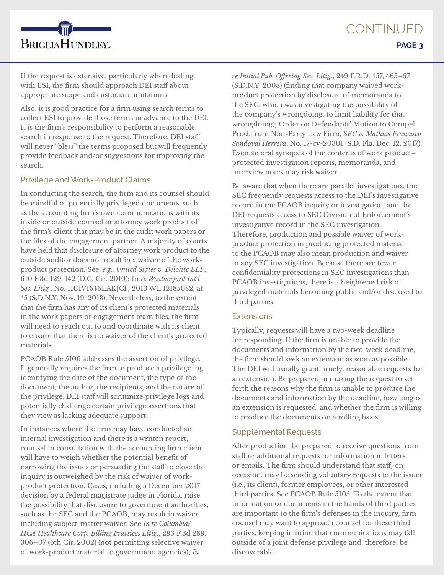If the request is extensive, particularly when dealing with ESI, the firm should approach DEI staff about appropriate scope and custodian limitations.

**BRIGLIAHUNDLEY**<sub>rc</sub>

Also, it is good practice for a firm using search terms to collect ESI to provide those terms in advance to the DEI. It is the firm's responsibility to perform a reasonable search in response to the request. Therefore, DEI staff will never "bless" the terms proposed but will frequently provide feedback and/or suggestions for improving the search.

## Privilege and Work-Product Claims

In conducting the search, the firm and its counsel should be mindful of potentially privileged documents, such as the accounting firm's own communications with its inside or outside counsel or attorney work product of the firm's client that may be in the audit work papers or the files of the engagement partner. A majority of courts have held that disclosure of attorney work product to the outside auditor does not result in a waiver of the workproduct protection. See, *e.g., United States v. Deloitte LLP*, 610 F.3d 129, 142 (D.C. Cir. 2010); In *re Weatherford Int'l Sec. Litig.*, No. 11CIV1646LAKJCF, 2013 WL 12185082, at \*5 (S.D.N.Y. Nov. 19, 2013). Nevertheless, to the extent that the firm has any of its client's protected materials in the work papers or engagement team files, the firm will need to reach out to and coordinate with its client to ensure that there is no waiver of the client's protected materials.

PCAOB Rule 5106 addresses the assertion of privilege. It generally requires the firm to produce a privilege log identifying the date of the document, the type of the document, the author, the recipients, and the nature of the privilege. DEI staff will scrutinize privilege logs and potentially challenge certain privilege assertions that they view as lacking adequate support.

In instances where the firm may have conducted an internal investigation and there is a written report, counsel in consultation with the accounting firm client will have to weigh whether the potential benefit of narrowing the issues or persuading the staff to close the inquiry is outweighed by the risk of waiver of workproduct protection. Cases, including a December 2017 decision by a federal magistrate judge in Florida, raise the possibility that disclosure to government authorities, such as the SEC and the PCAOB, may result in waiver, including subject-matter waiver. See *In re Columbia/ HCA Healthcare Corp. Billing Practices Litig.*, 293 F.3d 289, 306–07 (6th Cir. 2002) (not permitting selective waiver of work-product material to government agencies); *In* 

*re Initial Pub. Offering Sec. Litig.*, 249 F.R.D. 457, 465–67 (S.D.N.Y. 2008) (finding that company waived workproduct protection by disclosure of memoranda to the SEC, which was investigating the possibility of the company's wrongdoing, to limit liability for that wrongdoing); Order on Defendants' Motion to Compel Prod. from Non-Party Law Firm, *SEC v. Mathias Francisco Sandoval Herrera*, No. 17-cv-20301 (S.D. Fla. Dec. 12, 2017). Even an oral synopsis of the contents of work product– protected investigation reports, memoranda, and interview notes may risk waiver.

Be aware that when there are parallel investigations, the SEC frequently requests access to the DEI's investigative record in the PCAOB inquiry or investigation, and the DEI requests access to SEC Division of Enforcement's investigative record in the SEC investigation. Therefore, production and possible waiver of workproduct protection in producing protected material to the PCAOB may also mean production and waiver in any SEC investigation. Because there are fewer confidentiality protections in SEC investigations than PCAOB investigations, there is a heightened risk of privileged materials becoming public and/or disclosed to third parties.

## **Extensions**

Typically, requests will have a two-week deadline for responding. If the firm is unable to provide the documents and information by the two-week deadline, the firm should seek an extension as soon as possible. The DEI will usually grant timely, reasonable requests for an extension. Be prepared in making the request to set forth the reasons why the firm is unable to produce the documents and information by the deadline, how long of an extension is requested, and whether the firm is willing to produce the documents on a rolling basis.

## Supplemental Requests

After production, be prepared to receive questions from staff or additional requests for information in letters or emails. The firm should understand that staff, on occasion, may be sending voluntary requests to the issuer (i.e., its client), former employees, or other interested third parties. See PCAOB Rule 5105. To the extent that information or documents in the hands of third parties are important to the firm's defenses in the inquiry, firm counsel may want to approach counsel for these third parties, keeping in mind that communications may fall outside of a joint defense privilege and, therefore, be discoverable.